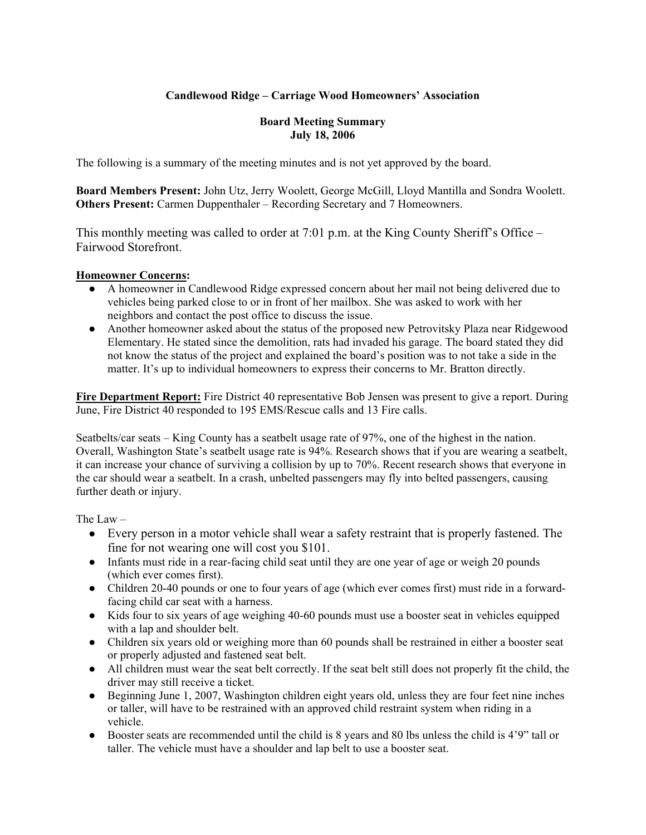# **Candlewood Ridge – Carriage Wood Homeowners' Association**

#### **Board Meeting Summary July 18, 2006**

The following is a summary of the meeting minutes and is not yet approved by the board.

**Board Members Present:** John Utz, Jerry Woolett, George McGill, Lloyd Mantilla and Sondra Woolett. **Others Present:** Carmen Duppenthaler – Recording Secretary and 7 Homeowners.

This monthly meeting was called to order at 7:01 p.m. at the King County Sheriff's Office – Fairwood Storefront.

### **Homeowner Concerns:**

- A homeowner in Candlewood Ridge expressed concern about her mail not being delivered due to vehicles being parked close to or in front of her mailbox. She was asked to work with her neighbors and contact the post office to discuss the issue.
- Another homeowner asked about the status of the proposed new Petrovitsky Plaza near Ridgewood Elementary. He stated since the demolition, rats had invaded his garage. The board stated they did not know the status of the project and explained the board's position was to not take a side in the matter. It's up to individual homeowners to express their concerns to Mr. Bratton directly.

**Fire Department Report:** Fire District 40 representative Bob Jensen was present to give a report. During June, Fire District 40 responded to 195 EMS/Rescue calls and 13 Fire calls.

Seatbelts/car seats – King County has a seatbelt usage rate of 97%, one of the highest in the nation. Overall, Washington State's seatbelt usage rate is 94%. Research shows that if you are wearing a seatbelt, it can increase your chance of surviving a collision by up to 70%. Recent research shows that everyone in the car should wear a seatbelt. In a crash, unbelted passengers may fly into belted passengers, causing further death or injury.

The Law –

- Every person in a motor vehicle shall wear a safety restraint that is properly fastened. The fine for not wearing one will cost you \$101.
- Infants must ride in a rear-facing child seat until they are one year of age or weigh 20 pounds (which ever comes first).
- Children 20-40 pounds or one to four years of age (which ever comes first) must ride in a forwardfacing child car seat with a harness.
- Kids four to six years of age weighing 40-60 pounds must use a booster seat in vehicles equipped with a lap and shoulder belt.
- Children six years old or weighing more than 60 pounds shall be restrained in either a booster seat or properly adjusted and fastened seat belt.
- All children must wear the seat belt correctly. If the seat belt still does not properly fit the child, the driver may still receive a ticket.
- Beginning June 1, 2007, Washington children eight years old, unless they are four feet nine inches or taller, will have to be restrained with an approved child restraint system when riding in a vehicle.
- Booster seats are recommended until the child is 8 years and 80 lbs unless the child is 4'9" tall or taller. The vehicle must have a shoulder and lap belt to use a booster seat.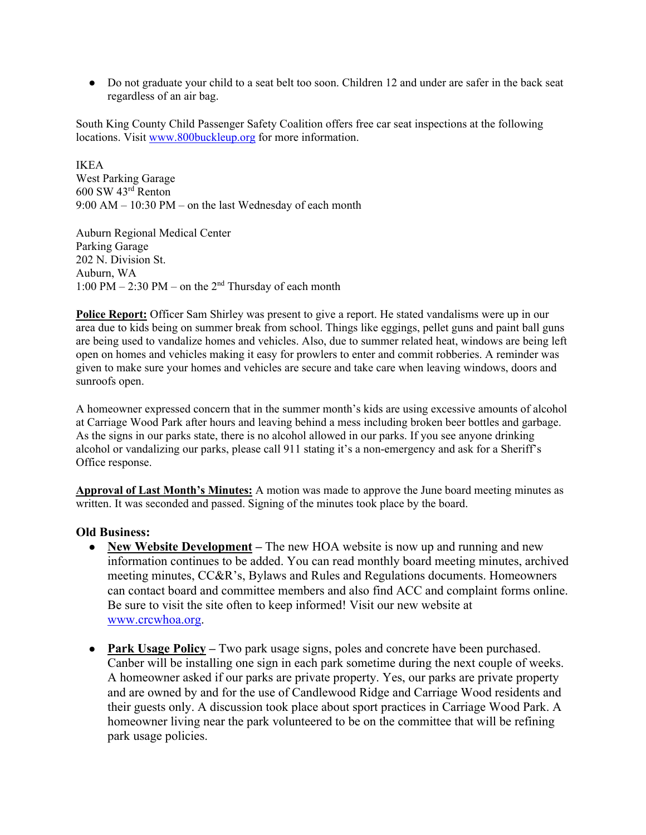• Do not graduate your child to a seat belt too soon. Children 12 and under are safer in the back seat regardless of an air bag.

South King County Child Passenger Safety Coalition offers free car seat inspections at the following locations. Visit www.800buckleup.org for more information.

IKEA West Parking Garage 600 SW 43rd Renton 9:00 AM – 10:30 PM – on the last Wednesday of each month

Auburn Regional Medical Center Parking Garage 202 N. Division St. Auburn, WA 1:00 PM – 2:30 PM – on the  $2<sup>nd</sup>$  Thursday of each month

**Police Report:** Officer Sam Shirley was present to give a report. He stated vandalisms were up in our area due to kids being on summer break from school. Things like eggings, pellet guns and paint ball guns are being used to vandalize homes and vehicles. Also, due to summer related heat, windows are being left open on homes and vehicles making it easy for prowlers to enter and commit robberies. A reminder was given to make sure your homes and vehicles are secure and take care when leaving windows, doors and sunroofs open.

A homeowner expressed concern that in the summer month's kids are using excessive amounts of alcohol at Carriage Wood Park after hours and leaving behind a mess including broken beer bottles and garbage. As the signs in our parks state, there is no alcohol allowed in our parks. If you see anyone drinking alcohol or vandalizing our parks, please call 911 stating it's a non-emergency and ask for a Sheriff's Office response.

**Approval of Last Month's Minutes:** A motion was made to approve the June board meeting minutes as written. It was seconded and passed. Signing of the minutes took place by the board.

#### **Old Business:**

- **New Website Development** The new HOA website is now up and running and new information continues to be added. You can read monthly board meeting minutes, archived meeting minutes, CC&R's, Bylaws and Rules and Regulations documents. Homeowners can contact board and committee members and also find ACC and complaint forms online. Be sure to visit the site often to keep informed! Visit our new website at www.crcwhoa.org.
- **Park Usage Policy** Two park usage signs, poles and concrete have been purchased. Canber will be installing one sign in each park sometime during the next couple of weeks. A homeowner asked if our parks are private property. Yes, our parks are private property and are owned by and for the use of Candlewood Ridge and Carriage Wood residents and their guests only. A discussion took place about sport practices in Carriage Wood Park. A homeowner living near the park volunteered to be on the committee that will be refining park usage policies.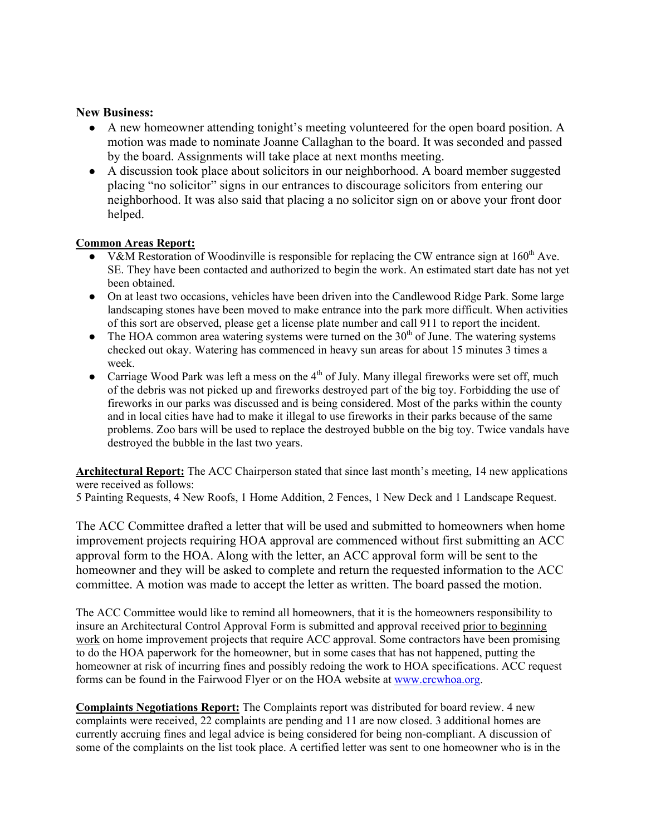## **New Business:**

- A new homeowner attending tonight's meeting volunteered for the open board position. A motion was made to nominate Joanne Callaghan to the board. It was seconded and passed by the board. Assignments will take place at next months meeting.
- A discussion took place about solicitors in our neighborhood. A board member suggested placing "no solicitor" signs in our entrances to discourage solicitors from entering our neighborhood. It was also said that placing a no solicitor sign on or above your front door helped.

### **Common Areas Report:**

- V&M Restoration of Woodinville is responsible for replacing the CW entrance sign at  $160<sup>th</sup>$  Ave. SE. They have been contacted and authorized to begin the work. An estimated start date has not yet been obtained.
- On at least two occasions, vehicles have been driven into the Candlewood Ridge Park. Some large landscaping stones have been moved to make entrance into the park more difficult. When activities of this sort are observed, please get a license plate number and call 911 to report the incident.
- $\bullet$  The HOA common area watering systems were turned on the 30<sup>th</sup> of June. The watering systems checked out okay. Watering has commenced in heavy sun areas for about 15 minutes 3 times a week.
- Carriage Wood Park was left a mess on the  $4<sup>th</sup>$  of July. Many illegal fireworks were set off, much of the debris was not picked up and fireworks destroyed part of the big toy. Forbidding the use of fireworks in our parks was discussed and is being considered. Most of the parks within the county and in local cities have had to make it illegal to use fireworks in their parks because of the same problems. Zoo bars will be used to replace the destroyed bubble on the big toy. Twice vandals have destroyed the bubble in the last two years.

**Architectural Report:** The ACC Chairperson stated that since last month's meeting, 14 new applications were received as follows:

5 Painting Requests, 4 New Roofs, 1 Home Addition, 2 Fences, 1 New Deck and 1 Landscape Request.

The ACC Committee drafted a letter that will be used and submitted to homeowners when home improvement projects requiring HOA approval are commenced without first submitting an ACC approval form to the HOA. Along with the letter, an ACC approval form will be sent to the homeowner and they will be asked to complete and return the requested information to the ACC committee. A motion was made to accept the letter as written. The board passed the motion.

The ACC Committee would like to remind all homeowners, that it is the homeowners responsibility to insure an Architectural Control Approval Form is submitted and approval received prior to beginning work on home improvement projects that require ACC approval. Some contractors have been promising to do the HOA paperwork for the homeowner, but in some cases that has not happened, putting the homeowner at risk of incurring fines and possibly redoing the work to HOA specifications. ACC request forms can be found in the Fairwood Flyer or on the HOA website at www.crcwhoa.org.

**Complaints Negotiations Report:** The Complaints report was distributed for board review. 4 new complaints were received, 22 complaints are pending and 11 are now closed. 3 additional homes are currently accruing fines and legal advice is being considered for being non-compliant. A discussion of some of the complaints on the list took place. A certified letter was sent to one homeowner who is in the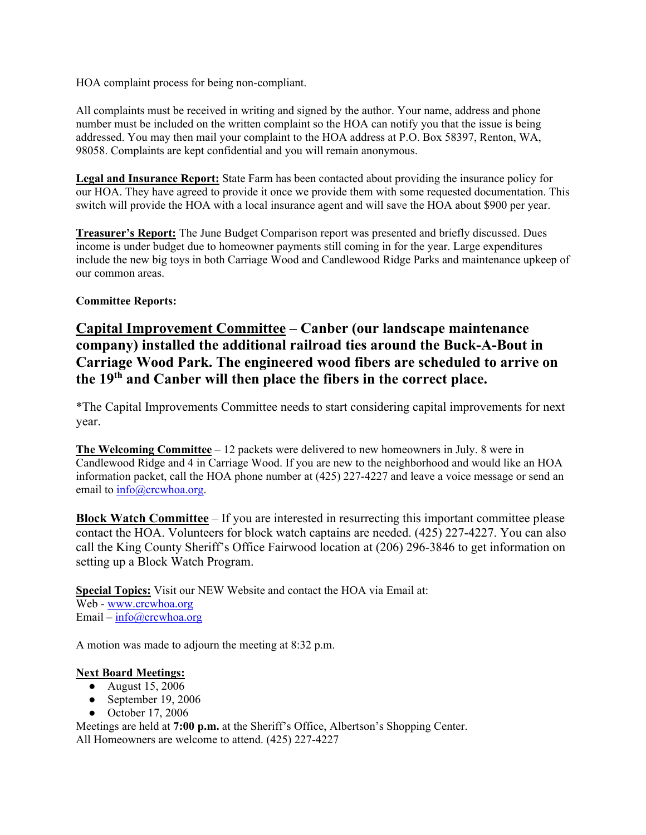HOA complaint process for being non-compliant.

All complaints must be received in writing and signed by the author. Your name, address and phone number must be included on the written complaint so the HOA can notify you that the issue is being addressed. You may then mail your complaint to the HOA address at P.O. Box 58397, Renton, WA, 98058. Complaints are kept confidential and you will remain anonymous.

**Legal and Insurance Report:** State Farm has been contacted about providing the insurance policy for our HOA. They have agreed to provide it once we provide them with some requested documentation. This switch will provide the HOA with a local insurance agent and will save the HOA about \$900 per year.

**Treasurer's Report:** The June Budget Comparison report was presented and briefly discussed. Dues income is under budget due to homeowner payments still coming in for the year. Large expenditures include the new big toys in both Carriage Wood and Candlewood Ridge Parks and maintenance upkeep of our common areas.

## **Committee Reports:**

**Capital Improvement Committee – Canber (our landscape maintenance company) installed the additional railroad ties around the Buck-A-Bout in Carriage Wood Park. The engineered wood fibers are scheduled to arrive on the 19th and Canber will then place the fibers in the correct place.** 

\*The Capital Improvements Committee needs to start considering capital improvements for next year.

**The Welcoming Committee** – 12 packets were delivered to new homeowners in July. 8 were in Candlewood Ridge and 4 in Carriage Wood. If you are new to the neighborhood and would like an HOA information packet, call the HOA phone number at (425) 227-4227 and leave a voice message or send an email to  $info@crcwhoa.org$ .

**Block Watch Committee** – If you are interested in resurrecting this important committee please contact the HOA. Volunteers for block watch captains are needed. (425) 227-4227. You can also call the King County Sheriff's Office Fairwood location at (206) 296-3846 to get information on setting up a Block Watch Program.

**Special Topics:** Visit our NEW Website and contact the HOA via Email at: Web - www.crcwhoa.org Email –  $info@crcwhoa.org$ 

A motion was made to adjourn the meeting at 8:32 p.m.

## **Next Board Meetings:**

- August 15, 2006
- September 19, 2006
- October 17, 2006

Meetings are held at **7:00 p.m.** at the Sheriff's Office, Albertson's Shopping Center. All Homeowners are welcome to attend. (425) 227-4227